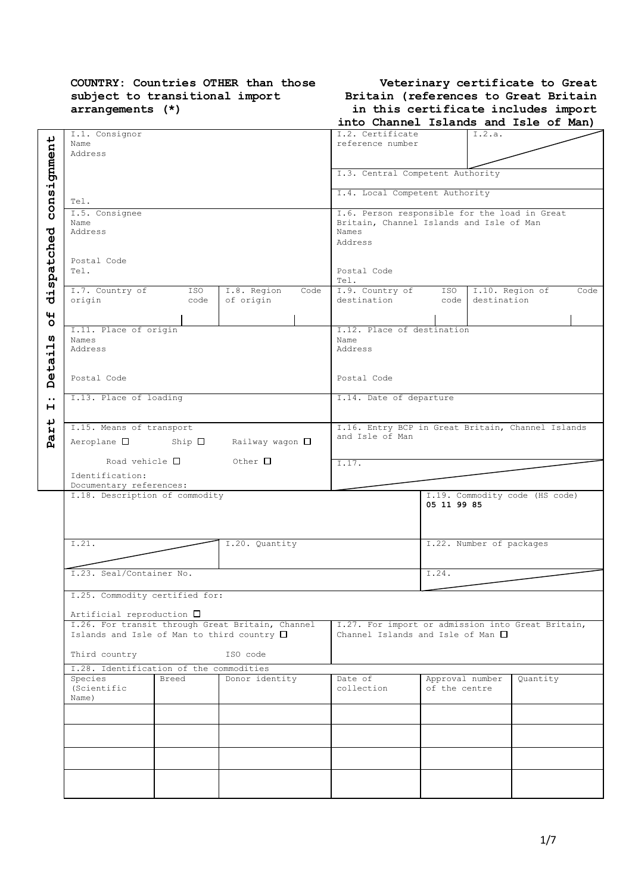## **COUNTRY: Countries OTHER than those subject to transitional import arrangements (\*)**

| Veterinary certificate to Great      |  |  |  |  |  |  |
|--------------------------------------|--|--|--|--|--|--|
| Britain (references to Great Britain |  |  |  |  |  |  |
| in this certificate includes import  |  |  |  |  |  |  |

|             |                                                    |                |                         |      | into Channel Islands and Isle of Man)                                                     |                 |                          |                                |      |
|-------------|----------------------------------------------------|----------------|-------------------------|------|-------------------------------------------------------------------------------------------|-----------------|--------------------------|--------------------------------|------|
|             | I.1. Consignor<br>Name                             |                |                         |      | I.2. Certificate<br>reference number                                                      |                 | I.2.a.                   |                                |      |
|             | Address                                            |                |                         |      |                                                                                           |                 |                          |                                |      |
|             |                                                    |                |                         |      |                                                                                           |                 |                          |                                |      |
| consignment |                                                    |                |                         |      | I.3. Central Competent Authority                                                          |                 |                          |                                |      |
|             |                                                    |                |                         |      | I.4. Local Competent Authority                                                            |                 |                          |                                |      |
|             | Tel.                                               |                |                         |      |                                                                                           |                 |                          |                                |      |
|             | I.5. Consignee<br>Name                             |                |                         |      | I.6. Person responsible for the load in Great<br>Britain, Channel Islands and Isle of Man |                 |                          |                                |      |
|             | Address                                            |                |                         |      | Names                                                                                     |                 |                          |                                |      |
| spatched    |                                                    |                |                         |      | Address                                                                                   |                 |                          |                                |      |
|             | Postal Code                                        |                |                         |      |                                                                                           |                 |                          |                                |      |
|             | Tel.                                               |                |                         |      | Postal Code<br>Tel.                                                                       |                 |                          |                                |      |
|             | I.7. Country of                                    | ISO            | I.8. Region             | Code | I.9. Country of                                                                           | ISO             | I.10. Region of          |                                | Code |
| .<br>ਹ      | origin                                             | code           | of origin               |      | destination                                                                               | code            | destination              |                                |      |
| 4           |                                                    |                |                         |      |                                                                                           |                 |                          |                                |      |
| $\circ$     | I.11. Place of origin                              |                |                         |      | I.12. Place of destination                                                                |                 |                          |                                |      |
| w<br>ᆏ      | Names<br>Address                                   |                |                         |      | Name<br>Address                                                                           |                 |                          |                                |      |
| ٠H          |                                                    |                |                         |      |                                                                                           |                 |                          |                                |      |
| Deta        |                                                    |                |                         |      |                                                                                           |                 |                          |                                |      |
|             | Postal Code                                        |                |                         |      | Postal Code                                                                               |                 |                          |                                |      |
| $\bullet$ . | I.13. Place of loading                             |                |                         |      | I.14. Date of departure                                                                   |                 |                          |                                |      |
| н           |                                                    |                |                         |      |                                                                                           |                 |                          |                                |      |
| ↵           | I.15. Means of transport                           |                |                         |      | I.16. Entry BCP in Great Britain, Channel Islands                                         |                 |                          |                                |      |
| Par         | $Aeroplane$ $\Box$                                 | Ship $\square$ | Railway wagon $\square$ |      | and Isle of Man                                                                           |                 |                          |                                |      |
|             |                                                    |                |                         |      |                                                                                           |                 |                          |                                |      |
|             | Road vehicle $\square$                             |                | Other $\Box$            |      | I.17.                                                                                     |                 |                          |                                |      |
|             | Identification:<br>Documentary references:         |                |                         |      |                                                                                           |                 |                          |                                |      |
|             | I.18. Description of commodity                     |                |                         |      |                                                                                           |                 |                          | I.19. Commodity code (HS code) |      |
|             |                                                    |                |                         |      |                                                                                           | 05 11 99 85     |                          |                                |      |
|             |                                                    |                |                         |      |                                                                                           |                 |                          |                                |      |
|             | I.21.                                              |                | I.20. Quantity          |      |                                                                                           |                 | I.22. Number of packages |                                |      |
|             |                                                    |                |                         |      |                                                                                           |                 |                          |                                |      |
|             |                                                    |                |                         |      |                                                                                           |                 |                          |                                |      |
|             | I.23. Seal/Container No.                           |                |                         |      |                                                                                           | I.24.           |                          |                                |      |
|             | I.25. Commodity certified for:                     |                |                         |      |                                                                                           |                 |                          |                                |      |
|             | Artificial reproduction $\square$                  |                |                         |      |                                                                                           |                 |                          |                                |      |
|             | I.26. For transit through Great Britain, Channel   |                |                         |      | I.27. For import or admission into Great Britain,                                         |                 |                          |                                |      |
|             | Islands and Isle of Man to third country $\square$ |                |                         |      | Channel Islands and Isle of Man $\Box$                                                    |                 |                          |                                |      |
|             | Third country                                      |                | ISO code                |      |                                                                                           |                 |                          |                                |      |
|             | I.28. Identification of the commodities            |                |                         |      |                                                                                           |                 |                          |                                |      |
|             | Species                                            | Breed          | Donor identity          |      | Date of                                                                                   | Approval number |                          | Quantity                       |      |
|             | (Scientific<br>Name)                               |                |                         |      | collection                                                                                | of the centre   |                          |                                |      |
|             |                                                    |                |                         |      |                                                                                           |                 |                          |                                |      |
|             |                                                    |                |                         |      |                                                                                           |                 |                          |                                |      |
|             |                                                    |                |                         |      |                                                                                           |                 |                          |                                |      |
|             |                                                    |                |                         |      |                                                                                           |                 |                          |                                |      |
|             |                                                    |                |                         |      |                                                                                           |                 |                          |                                |      |
|             |                                                    |                |                         |      |                                                                                           |                 |                          |                                |      |
|             |                                                    |                |                         |      |                                                                                           |                 |                          |                                |      |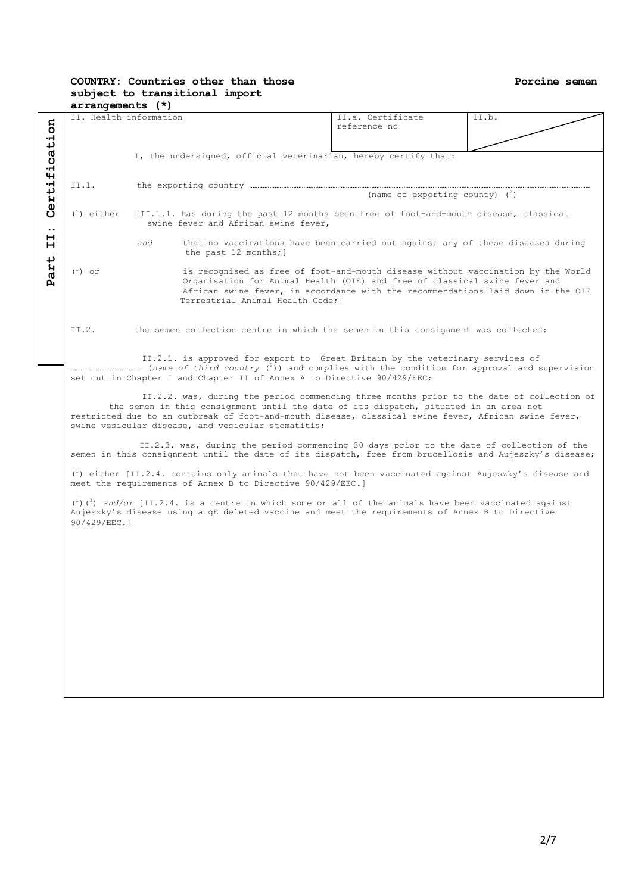#### **COUNTRY: Countries other than those subject to transitional import arrangements (\*)**

|                       | II. Health information |     |                                                                                                                            | II.a. Certificate                 | II.b. |
|-----------------------|------------------------|-----|----------------------------------------------------------------------------------------------------------------------------|-----------------------------------|-------|
| ertification          |                        |     |                                                                                                                            | reference no                      |       |
|                       |                        |     |                                                                                                                            |                                   |       |
|                       |                        |     |                                                                                                                            |                                   |       |
|                       |                        |     | I, the undersigned, official veterinarian, hereby certify that:                                                            |                                   |       |
|                       |                        |     |                                                                                                                            |                                   |       |
|                       |                        |     |                                                                                                                            |                                   |       |
|                       |                        |     |                                                                                                                            |                                   |       |
|                       | II.1.                  |     |                                                                                                                            |                                   |       |
|                       |                        |     |                                                                                                                            | (name of exporting county) $(^2)$ |       |
|                       |                        |     |                                                                                                                            |                                   |       |
|                       |                        |     |                                                                                                                            |                                   |       |
| Ŭ                     | $\binom{1}{1}$ either  |     | [II.1.1. has during the past 12 months been free of foot-and-mouth disease, classical                                      |                                   |       |
|                       |                        |     | swine fever and African swine fever,                                                                                       |                                   |       |
| $\bullet\bullet$<br>н |                        |     |                                                                                                                            |                                   |       |
| н                     |                        | and | that no vaccinations have been carried out against any of these diseases during                                            |                                   |       |
|                       |                        |     | the past 12 months; ]                                                                                                      |                                   |       |
| $\overline{v}$        |                        |     |                                                                                                                            |                                   |       |
|                       |                        |     |                                                                                                                            |                                   |       |
| Par <sup>.</sup>      | $\binom{1}{1}$ or      |     | is recognised as free of foot-and-mouth disease without vaccination by the World                                           |                                   |       |
|                       |                        |     | Organisation for Animal Health (OIE) and free of classical swine fever and                                                 |                                   |       |
|                       |                        |     | African swine fever, in accordance with the recommendations laid down in the OIE                                           |                                   |       |
|                       |                        |     | Terrestrial Animal Health Code; ]                                                                                          |                                   |       |
|                       |                        |     |                                                                                                                            |                                   |       |
|                       |                        |     |                                                                                                                            |                                   |       |
|                       |                        |     |                                                                                                                            |                                   |       |
|                       | II.2.                  |     | the semen collection centre in which the semen in this consignment was collected:                                          |                                   |       |
|                       |                        |     |                                                                                                                            |                                   |       |
|                       |                        |     |                                                                                                                            |                                   |       |
|                       |                        |     | II.2.1. is approved for export to Great Britain by the veterinary services of                                              |                                   |       |
|                       |                        |     |                                                                                                                            |                                   |       |
|                       |                        |     |                                                                                                                            |                                   |       |
|                       |                        |     | set out in Chapter I and Chapter II of Annex A to Directive 90/429/EEC;                                                    |                                   |       |
|                       |                        |     |                                                                                                                            |                                   |       |
|                       |                        |     | II.2.2. was, during the period commencing three months prior to the date of collection of                                  |                                   |       |
|                       |                        |     | the semen in this consignment until the date of its dispatch, situated in an area not                                      |                                   |       |
|                       |                        |     | restricted due to an outbreak of foot-and-mouth disease, classical swine fever, African swine fever,                       |                                   |       |
|                       |                        |     | swine vesicular disease, and vesicular stomatitis;                                                                         |                                   |       |
|                       |                        |     |                                                                                                                            |                                   |       |
|                       |                        |     |                                                                                                                            |                                   |       |
|                       |                        |     | II.2.3. was, during the period commencing 30 days prior to the date of collection of the                                   |                                   |       |
|                       |                        |     | semen in this consignment until the date of its dispatch, free from brucellosis and Aujeszky's disease;                    |                                   |       |
|                       |                        |     |                                                                                                                            |                                   |       |
|                       |                        |     | $\binom{1}{1}$ either [II.2.4. contains only animals that have not been vaccinated against Aujeszky's disease and          |                                   |       |
|                       |                        |     | meet the requirements of Annex B to Directive 90/429/EEC.]                                                                 |                                   |       |
|                       |                        |     |                                                                                                                            |                                   |       |
|                       |                        |     |                                                                                                                            |                                   |       |
|                       |                        |     | $\binom{1}{1}$ $\binom{3}{1}$ and/or [II.2.4. is a centre in which some or all of the animals have been vaccinated against |                                   |       |
|                       |                        |     | Aujeszky's disease using a gE deleted vaccine and meet the requirements of Annex B to Directive                            |                                   |       |
|                       | 90/429/EEC.1           |     |                                                                                                                            |                                   |       |
|                       |                        |     |                                                                                                                            |                                   |       |
|                       |                        |     |                                                                                                                            |                                   |       |
|                       |                        |     |                                                                                                                            |                                   |       |
|                       |                        |     |                                                                                                                            |                                   |       |
|                       |                        |     |                                                                                                                            |                                   |       |
|                       |                        |     |                                                                                                                            |                                   |       |
|                       |                        |     |                                                                                                                            |                                   |       |
|                       |                        |     |                                                                                                                            |                                   |       |
|                       |                        |     |                                                                                                                            |                                   |       |
|                       |                        |     |                                                                                                                            |                                   |       |
|                       |                        |     |                                                                                                                            |                                   |       |
|                       |                        |     |                                                                                                                            |                                   |       |
|                       |                        |     |                                                                                                                            |                                   |       |
|                       |                        |     |                                                                                                                            |                                   |       |
|                       |                        |     |                                                                                                                            |                                   |       |
|                       |                        |     |                                                                                                                            |                                   |       |
|                       |                        |     |                                                                                                                            |                                   |       |
|                       |                        |     |                                                                                                                            |                                   |       |
|                       |                        |     |                                                                                                                            |                                   |       |
|                       |                        |     |                                                                                                                            |                                   |       |
|                       |                        |     |                                                                                                                            |                                   |       |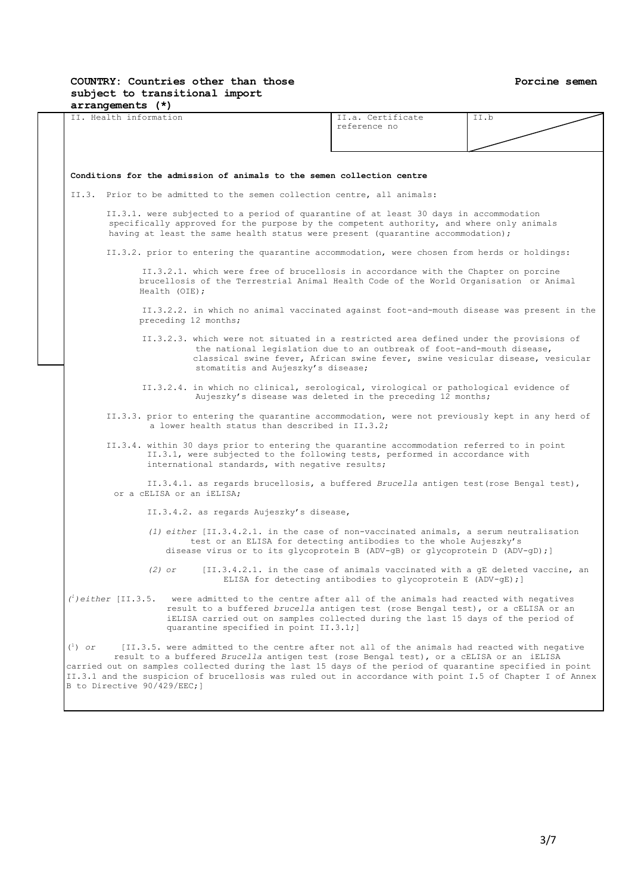#### **COUNTRY: Countries other than those subject to transitional import arrangements (\*)**

|           | II. Health information                                                                                                                                                                                                                                                                                                           | II.a. Certificate<br>reference no                                                                                                                        | II.b |
|-----------|----------------------------------------------------------------------------------------------------------------------------------------------------------------------------------------------------------------------------------------------------------------------------------------------------------------------------------|----------------------------------------------------------------------------------------------------------------------------------------------------------|------|
|           |                                                                                                                                                                                                                                                                                                                                  |                                                                                                                                                          |      |
|           |                                                                                                                                                                                                                                                                                                                                  |                                                                                                                                                          |      |
|           | Conditions for the admission of animals to the semen collection centre                                                                                                                                                                                                                                                           |                                                                                                                                                          |      |
|           | II.3. Prior to be admitted to the semen collection centre, all animals:                                                                                                                                                                                                                                                          |                                                                                                                                                          |      |
|           | II.3.1. were subjected to a period of quarantine of at least 30 days in accommodation<br>specifically approved for the purpose by the competent authority, and where only animals<br>having at least the same health status were present (quarantine accommodation);                                                             |                                                                                                                                                          |      |
|           | II.3.2. prior to entering the quarantine accommodation, were chosen from herds or holdings:                                                                                                                                                                                                                                      |                                                                                                                                                          |      |
|           | II.3.2.1. which were free of brucellosis in accordance with the Chapter on porcine<br>brucellosis of the Terrestrial Animal Health Code of the World Organisation or Animal<br>Health (OIE);                                                                                                                                     |                                                                                                                                                          |      |
|           | II.3.2.2. in which no animal vaccinated against foot-and-mouth disease was present in the<br>preceding 12 months;                                                                                                                                                                                                                |                                                                                                                                                          |      |
|           | II.3.2.3. which were not situated in a restricted area defined under the provisions of<br>stomatitis and Aujeszky's disease;                                                                                                                                                                                                     | the national legislation due to an outbreak of foot-and-mouth disease,<br>classical swine fever, African swine fever, swine vesicular disease, vesicular |      |
|           | II.3.2.4. in which no clinical, serological, virological or pathological evidence of                                                                                                                                                                                                                                             | Aujeszky's disease was deleted in the preceding 12 months;                                                                                               |      |
|           | II.3.3. prior to entering the quarantine accommodation, were not previously kept in any herd of<br>a lower health status than described in II.3.2;                                                                                                                                                                               |                                                                                                                                                          |      |
|           | II.3.4. within 30 days prior to entering the quarantine accommodation referred to in point<br>II.3.1, were subjected to the following tests, performed in accordance with<br>international standards, with negative results;                                                                                                     |                                                                                                                                                          |      |
|           | II.3.4.1. as regards brucellosis, a buffered Brucella antigen test (rose Bengal test),<br>or a CELISA or an iELISA;                                                                                                                                                                                                              |                                                                                                                                                          |      |
|           | II.3.4.2. as regards Aujeszky's disease,                                                                                                                                                                                                                                                                                         |                                                                                                                                                          |      |
|           | $(1)$ either $[II.3.4.2.1.$ in the case of non-vaccinated animals, a serum neutralisation<br>test or an ELISA for detecting antibodies to the whole Aujeszky's<br>disease virus or to its glycoprotein B (ADV-gB) or glycoprotein D (ADV-gD); ]                                                                                  |                                                                                                                                                          |      |
|           | $(2)$ or                                                                                                                                                                                                                                                                                                                         | [II.3.4.2.1. in the case of animals vaccinated with a qE deleted vaccine, an<br>ELISA for detecting antibodies to glycoprotein E (ADV-gE); ]             |      |
|           | $\binom{l}{k}$ either [II.3.5. were admitted to the centre after all of the animals had reacted with negatives<br>result to a buffered brucella antigen test (rose Bengal test), or a CELISA or an<br>iELISA carried out on samples collected during the last 15 days of the period of<br>quarantine specified in point II.3.1;] |                                                                                                                                                          |      |
| $(^1)$ or | [II.3.5. were admitted to the centre after not all of the animals had reacted with negative<br>result to a buffered Brucella antigen test (rose Bengal test), or a CELISA or an iELISA                                                                                                                                           |                                                                                                                                                          |      |

carried out on samples collected during the last 15 days of the period of quarantine specified in point II.3.1 and the suspicion of brucellosis was ruled out in accordance with point I.5 of Chapter I of Annex B to Directive 90/429/EEC;]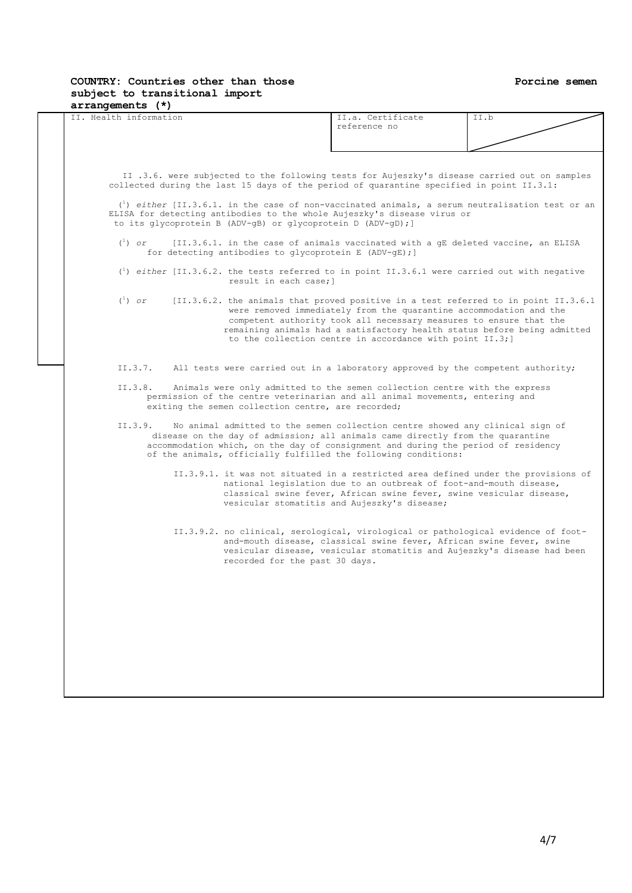#### **Porcine semen**

#### **COUNTRY: Countries other than those subject to transitional import arrangements (\*)**

| II. Health information |                                                              | II.a. Certificate<br>reference no                                                                                                                                                                                                                                                                                                                                      | II.b                                                                                                      |
|------------------------|--------------------------------------------------------------|------------------------------------------------------------------------------------------------------------------------------------------------------------------------------------------------------------------------------------------------------------------------------------------------------------------------------------------------------------------------|-----------------------------------------------------------------------------------------------------------|
|                        |                                                              |                                                                                                                                                                                                                                                                                                                                                                        |                                                                                                           |
|                        |                                                              |                                                                                                                                                                                                                                                                                                                                                                        |                                                                                                           |
|                        |                                                              |                                                                                                                                                                                                                                                                                                                                                                        |                                                                                                           |
|                        |                                                              | II.3.6. were subjected to the following tests for Aujeszky's disease carried out on samples<br>collected during the last 15 days of the period of quarantine specified in point II.3.1:                                                                                                                                                                                |                                                                                                           |
|                        | to its glycoprotein B (ADV-gB) or glycoprotein D (ADV-gD); ] | ELISA for detecting antibodies to the whole Aujeszky's disease virus or                                                                                                                                                                                                                                                                                                | $\binom{1}{1}$ either [II.3.6.1. in the case of non-vaccinated animals, a serum neutralisation test or an |
| $\binom{1}{1}$ or      | for detecting antibodies to glycoprotein E (ADV-gE); ]       | [II.3.6.1. in the case of animals vaccinated with a qE deleted vaccine, an ELISA                                                                                                                                                                                                                                                                                       |                                                                                                           |
|                        | result in each case; 1                                       | $\binom{1}{1}$ either [II.3.6.2. the tests referred to in point II.3.6.1 were carried out with negative                                                                                                                                                                                                                                                                |                                                                                                           |
| $\binom{1}{1}$ or      |                                                              | [II.3.6.2. the animals that proved positive in a test referred to in point II.3.6.1<br>were removed immediately from the quarantine accommodation and the<br>competent authority took all necessary measures to ensure that the<br>remaining animals had a satisfactory health status before being admitted<br>to the collection centre in accordance with point II.3; |                                                                                                           |
| II.3.7.                |                                                              | All tests were carried out in a laboratory approved by the competent authority;                                                                                                                                                                                                                                                                                        |                                                                                                           |
| II.3.8.                | exiting the semen collection centre, are recorded;           | Animals were only admitted to the semen collection centre with the express<br>permission of the centre veterinarian and all animal movements, entering and                                                                                                                                                                                                             |                                                                                                           |
| II.3.9.                |                                                              | No animal admitted to the semen collection centre showed any clinical sign of<br>disease on the day of admission; all animals came directly from the quarantine<br>accommodation which, on the day of consignment and during the period of residency<br>of the animals, officially fulfilled the following conditions:                                                 |                                                                                                           |
|                        |                                                              | II.3.9.1. it was not situated in a restricted area defined under the provisions of<br>national legislation due to an outbreak of foot-and-mouth disease,<br>classical swine fever, African swine fever, swine vesicular disease,<br>vesicular stomatitis and Aujeszky's disease;                                                                                       |                                                                                                           |
|                        | recorded for the past 30 days.                               | II.3.9.2. no clinical, serological, virological or pathological evidence of foot-<br>and-mouth disease, classical swine fever, African swine fever, swine<br>vesicular disease, vesicular stomatitis and Aujeszky's disease had been                                                                                                                                   |                                                                                                           |
|                        |                                                              |                                                                                                                                                                                                                                                                                                                                                                        |                                                                                                           |
|                        |                                                              |                                                                                                                                                                                                                                                                                                                                                                        |                                                                                                           |
|                        |                                                              |                                                                                                                                                                                                                                                                                                                                                                        |                                                                                                           |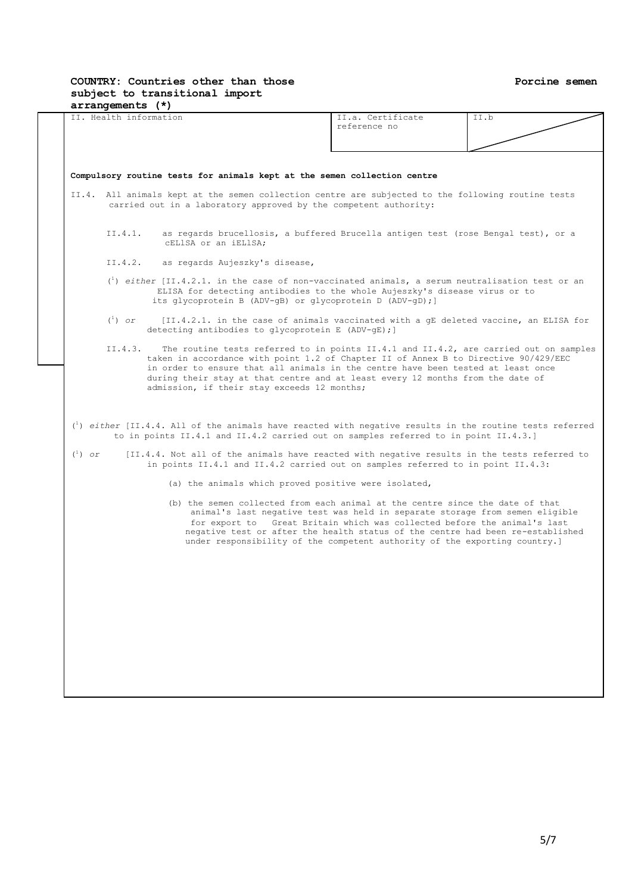#### **Porcine semen**

#### **COUNTRY: Countries other than those subject to transitional import arrangements (\*)**

|                   |                   |                                                                                                                                                                                                                                                                                                          | reference no                                                                                                                                                                                                                                                                                                                                                                                              |  |
|-------------------|-------------------|----------------------------------------------------------------------------------------------------------------------------------------------------------------------------------------------------------------------------------------------------------------------------------------------------------|-----------------------------------------------------------------------------------------------------------------------------------------------------------------------------------------------------------------------------------------------------------------------------------------------------------------------------------------------------------------------------------------------------------|--|
|                   |                   |                                                                                                                                                                                                                                                                                                          |                                                                                                                                                                                                                                                                                                                                                                                                           |  |
|                   |                   | Compulsory routine tests for animals kept at the semen collection centre                                                                                                                                                                                                                                 |                                                                                                                                                                                                                                                                                                                                                                                                           |  |
|                   |                   | II.4. All animals kept at the semen collection centre are subjected to the following routine tests                                                                                                                                                                                                       |                                                                                                                                                                                                                                                                                                                                                                                                           |  |
|                   |                   | carried out in a laboratory approved by the competent authority:                                                                                                                                                                                                                                         |                                                                                                                                                                                                                                                                                                                                                                                                           |  |
|                   | II.4.1.           | CELISA or an iELISA;                                                                                                                                                                                                                                                                                     | as regards brucellosis, a buffered Brucella antigen test (rose Bengal test), or a                                                                                                                                                                                                                                                                                                                         |  |
|                   | II.4.2.           | as regards Aujeszky's disease,                                                                                                                                                                                                                                                                           |                                                                                                                                                                                                                                                                                                                                                                                                           |  |
|                   |                   | $\binom{1}{1}$ either [II.4.2.1. in the case of non-vaccinated animals, a serum neutralisation test or an<br>ELISA for detecting antibodies to the whole Aujeszky's disease virus or to<br>its glycoprotein B (ADV-gB) or glycoprotein D (ADV-gD); ]                                                     |                                                                                                                                                                                                                                                                                                                                                                                                           |  |
|                   | $\binom{1}{1}$ or | detecting antibodies to glycoprotein E (ADV-gE); ]                                                                                                                                                                                                                                                       | [II.4.2.1. in the case of animals vaccinated with a gE deleted vaccine, an ELISA for                                                                                                                                                                                                                                                                                                                      |  |
|                   | II.4.3.           | taken in accordance with point 1.2 of Chapter II of Annex B to Directive 90/429/EEC<br>in order to ensure that all animals in the centre have been tested at least once<br>during their stay at that centre and at least every 12 months from the date of<br>admission, if their stay exceeds 12 months; | The routine tests referred to in points II.4.1 and II.4.2, are carried out on samples                                                                                                                                                                                                                                                                                                                     |  |
|                   |                   |                                                                                                                                                                                                                                                                                                          |                                                                                                                                                                                                                                                                                                                                                                                                           |  |
| $\binom{1}{1}$ or |                   | $\binom{1}{1}$ either [II.4.4. All of the animals have reacted with negative results in the routine tests referred<br>to in points II.4.1 and II.4.2 carried out on samples referred to in point II.4.3.]<br>[II.4.4. Not all of the animals have reacted with negative results in the tests referred to |                                                                                                                                                                                                                                                                                                                                                                                                           |  |
|                   |                   | in points II.4.1 and II.4.2 carried out on samples referred to in point II.4.3:                                                                                                                                                                                                                          |                                                                                                                                                                                                                                                                                                                                                                                                           |  |
|                   |                   | (a) the animals which proved positive were isolated,                                                                                                                                                                                                                                                     |                                                                                                                                                                                                                                                                                                                                                                                                           |  |
|                   |                   |                                                                                                                                                                                                                                                                                                          | (b) the semen collected from each animal at the centre since the date of that<br>animal's last negative test was held in separate storage from semen eligible<br>for export to Great Britain which was collected before the animal's last<br>negative test or after the health status of the centre had been re-established<br>under responsibility of the competent authority of the exporting country.] |  |
|                   |                   |                                                                                                                                                                                                                                                                                                          |                                                                                                                                                                                                                                                                                                                                                                                                           |  |
|                   |                   |                                                                                                                                                                                                                                                                                                          |                                                                                                                                                                                                                                                                                                                                                                                                           |  |
|                   |                   |                                                                                                                                                                                                                                                                                                          |                                                                                                                                                                                                                                                                                                                                                                                                           |  |
|                   |                   |                                                                                                                                                                                                                                                                                                          |                                                                                                                                                                                                                                                                                                                                                                                                           |  |
|                   |                   |                                                                                                                                                                                                                                                                                                          |                                                                                                                                                                                                                                                                                                                                                                                                           |  |
|                   |                   |                                                                                                                                                                                                                                                                                                          |                                                                                                                                                                                                                                                                                                                                                                                                           |  |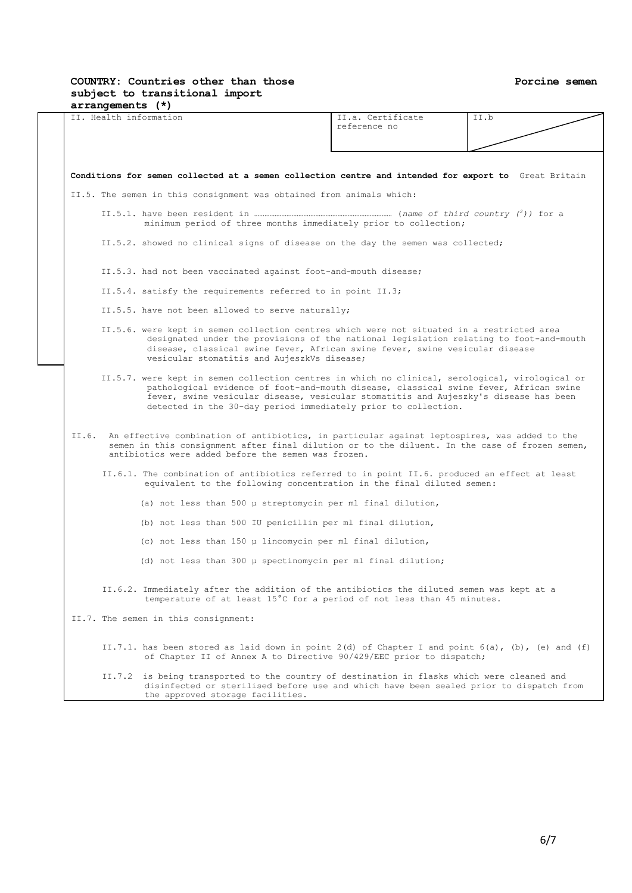### **Porcine semen**

# **COUNTRY: Countries other than those subject to transitional import**

| $arrangements$ $(*)$<br>II. Health information                                                                                                                                                                                                                                                                                                     | II.a. Certificate | TT.b |
|----------------------------------------------------------------------------------------------------------------------------------------------------------------------------------------------------------------------------------------------------------------------------------------------------------------------------------------------------|-------------------|------|
|                                                                                                                                                                                                                                                                                                                                                    | reference no      |      |
|                                                                                                                                                                                                                                                                                                                                                    |                   |      |
| Conditions for semen collected at a semen collection centre and intended for export to Great Britain                                                                                                                                                                                                                                               |                   |      |
| II.5. The semen in this consignment was obtained from animals which:                                                                                                                                                                                                                                                                               |                   |      |
| minimum period of three months immediately prior to collection;                                                                                                                                                                                                                                                                                    |                   |      |
| II.5.2. showed no clinical signs of disease on the day the semen was collected;                                                                                                                                                                                                                                                                    |                   |      |
| II.5.3. had not been vaccinated against foot-and-mouth disease;                                                                                                                                                                                                                                                                                    |                   |      |
| II.5.4. satisfy the requirements referred to in point II.3;                                                                                                                                                                                                                                                                                        |                   |      |
| II.5.5. have not been allowed to serve naturally;                                                                                                                                                                                                                                                                                                  |                   |      |
| II.5.6. were kept in semen collection centres which were not situated in a restricted area<br>designated under the provisions of the national legislation relating to foot-and-mouth<br>disease, classical swine fever, African swine fever, swine vesicular disease<br>vesicular stomatitis and AujeszkVs disease;                                |                   |      |
| II.5.7. were kept in semen collection centres in which no clinical, serological, virological or<br>pathological evidence of foot-and-mouth disease, classical swine fever, African swine<br>fever, swine vesicular disease, vesicular stomatitis and Aujeszky's disease has been<br>detected in the 30-day period immediately prior to collection. |                   |      |
| II.6. An effective combination of antibiotics, in particular against leptospires, was added to the<br>semen in this consignment after final dilution or to the diluent. In the case of frozen semen,<br>antibiotics were added before the semen was frozen.                                                                                        |                   |      |
| II.6.1. The combination of antibiotics referred to in point II.6. produced an effect at least<br>equivalent to the following concentration in the final diluted semen:                                                                                                                                                                             |                   |      |
| (a) not less than 500 µ streptomycin per ml final dilution,                                                                                                                                                                                                                                                                                        |                   |      |
| (b) not less than 500 IU penicillin per ml final dilution,                                                                                                                                                                                                                                                                                         |                   |      |
| (c) not less than 150 µ lincomycin per ml final dilution,                                                                                                                                                                                                                                                                                          |                   |      |
| (d) not less than 300 µ spectinomycin per ml final dilution;                                                                                                                                                                                                                                                                                       |                   |      |
| II.6.2. Immediately after the addition of the antibiotics the diluted semen was kept at a<br>temperature of at least 15°C for a period of not less than 45 minutes.                                                                                                                                                                                |                   |      |
| II.7. The semen in this consignment:                                                                                                                                                                                                                                                                                                               |                   |      |
| II.7.1. has been stored as laid down in point $2(d)$ of Chapter I and point $6(a)$ , (b), (e) and (f)<br>of Chapter II of Annex A to Directive 90/429/EEC prior to dispatch;                                                                                                                                                                       |                   |      |
| II 7 2 is being transported to the country of destination in flasks which were cleaned and                                                                                                                                                                                                                                                         |                   |      |

 II.7.2 is being transported to the country of destination in flasks which were cleaned and disinfected or sterilised before use and which have been sealed prior to dispatch from the approved storage facilities.